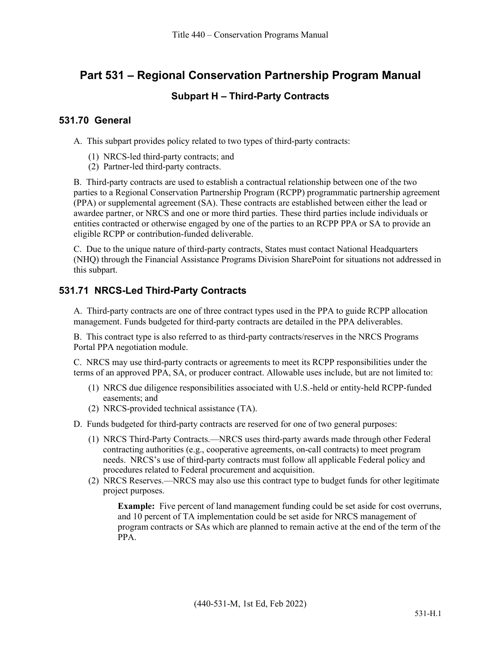# **Part 531 – Regional Conservation Partnership Program Manual**

## **Subpart H – Third-Party Contracts**

#### **531.70 General**

A. This subpart provides policy related to two types of third-party contracts:

- (1) NRCS-led third-party contracts; and
- (2) Partner-led third-party contracts.

B. Third-party contracts are used to establish a contractual relationship between one of the two parties to a Regional Conservation Partnership Program (RCPP) programmatic partnership agreement (PPA) or supplemental agreement (SA). These contracts are established between either the lead or awardee partner, or NRCS and one or more third parties. These third parties include individuals or entities contracted or otherwise engaged by one of the parties to an RCPP PPA or SA to provide an eligible RCPP or contribution-funded deliverable.

C. Due to the unique nature of third-party contracts, States must contact National Headquarters (NHQ) through the Financial Assistance Programs Division SharePoint for situations not addressed in this subpart.

### **531.71 NRCS-Led Third-Party Contracts**

A. Third-party contracts are one of three contract types used in the PPA to guide RCPP allocation management. Funds budgeted for third-party contracts are detailed in the PPA deliverables.

B. This contract type is also referred to as third-party contracts/reserves in the NRCS Programs Portal PPA negotiation module.

C. NRCS may use third-party contracts or agreements to meet its RCPP responsibilities under the terms of an approved PPA, SA, or producer contract. Allowable uses include, but are not limited to:

- (1) NRCS due diligence responsibilities associated with U.S.-held or entity-held RCPP-funded easements; and
- (2) NRCS-provided technical assistance (TA).

D. Funds budgeted for third-party contracts are reserved for one of two general purposes:

- (1) NRCS Third-Party Contracts.—NRCS uses third-party awards made through other Federal contracting authorities (e.g., cooperative agreements, on-call contracts) to meet program needs. NRCS's use of third-party contracts must follow all applicable Federal policy and procedures related to Federal procurement and acquisition.
- (2) NRCS Reserves.—NRCS may also use this contract type to budget funds for other legitimate project purposes.

**Example:** Five percent of land management funding could be set aside for cost overruns, and 10 percent of TA implementation could be set aside for NRCS management of program contracts or SAs which are planned to remain active at the end of the term of the PPA.